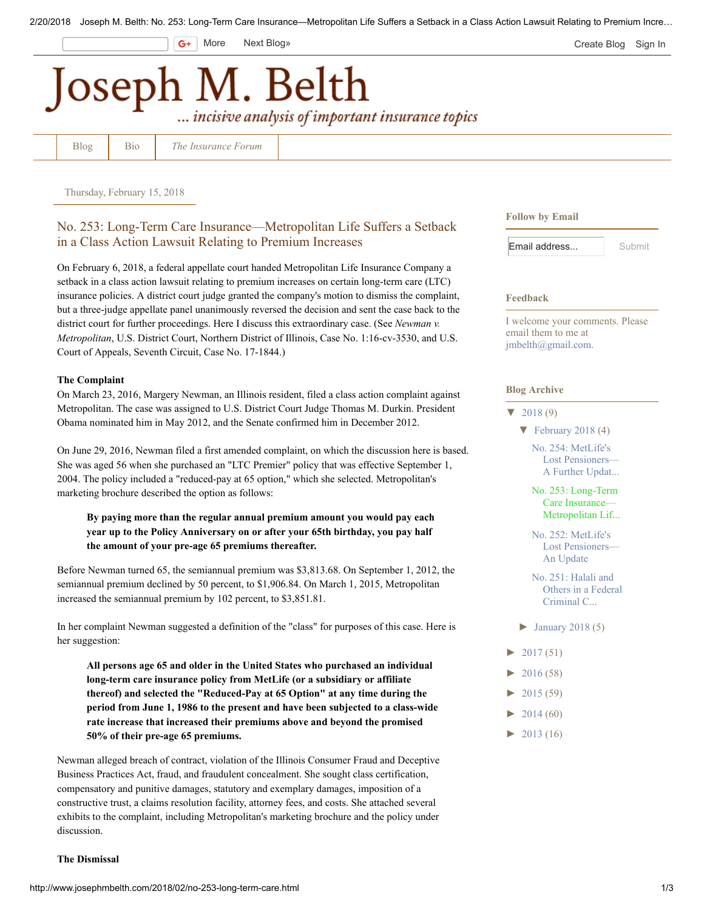$G+$ 

More [Next Blog»](https://www.blogger.com/next-blog?navBar=true&blogID=89252160229945677) **[Create Blog](https://www.blogger.com/home#create) [Sign In](https://www.blogger.com/)** 

# Joseph M. Belth ... incisive analysis of important insurance topics

[Blog](http://www.josephmbelth.com/) [Bio](http://www.josephmbelth.com/p/about-author.html) *[The Insurance Forum](http://www.josephmbelth.com/p/about.html)*

Thursday, February 15, 2018

## No. 253: Long-Term Care Insurance—Metropolitan Life Suffers a Setback in a Class Action Lawsuit Relating to Premium Increases

On February 6, 2018, a federal appellate court handed Metropolitan Life Insurance Company a setback in a class action lawsuit relating to premium increases on certain long-term care (LTC) insurance policies. A district court judge granted the company's motion to dismiss the complaint, but a three-judge appellate panel unanimously reversed the decision and sent the case back to the district court for further proceedings. Here I discuss this extraordinary case. (See *Newman v. Metropolitan*, U.S. District Court, Northern District of Illinois, Case No. 1:16-cv-3530, and U.S. Court of Appeals, Seventh Circuit, Case No. 17-1844.)

#### The Complaint

On March 23, 2016, Margery Newman, an Illinois resident, filed a class action complaint against Metropolitan. The case was assigned to U.S. District Court Judge Thomas M. Durkin. President Obama nominated him in May 2012, and the Senate confirmed him in December 2012.

On June 29, 2016, Newman filed a first amended complaint, on which the discussion here is based. She was aged 56 when she purchased an "LTC Premier" policy that was effective September 1, 2004. The policy included a "reduced-pay at 65 option," which she selected. Metropolitan's marketing brochure described the option as follows:

### By paying more than the regular annual premium amount you would pay each year up to the Policy Anniversary on or after your 65th birthday, you pay half the amount of your pre-age 65 premiums thereafter.

Before Newman turned 65, the semiannual premium was \$3,813.68. On September 1, 2012, the semiannual premium declined by 50 percent, to \$1,906.84. On March 1, 2015, Metropolitan increased the semiannual premium by 102 percent, to \$3,851.81.

In her complaint Newman suggested a definition of the "class" for purposes of this case. Here is her suggestion:

All persons age 65 and older in the United States who purchased an individual long-term care insurance policy from MetLife (or a subsidiary or affiliate thereof) and selected the "Reduced-Pay at 65 Option" at any time during the period from June 1, 1986 to the present and have been subjected to a class-wide rate increase that increased their premiums above and beyond the promised 50% of their pre-age 65 premiums.

Newman alleged breach of contract, violation of the Illinois Consumer Fraud and Deceptive Business Practices Act, fraud, and fraudulent concealment. She sought class certification, compensatory and punitive damages, statutory and exemplary damages, imposition of a constructive trust, a claims resolution facility, attorney fees, and costs. She attached several exhibits to the complaint, including Metropolitan's marketing brochure and the policy under discussion.

#### The Dismissal

Follow by Email

| Email address | Submit |
|---------------|--------|
|               |        |

#### Feedback

I welcome your comments. Please email them to me at [jmbelth@gmail.com](mailto:jmbelth@gmail.com).

#### Blog Archive

#### $\blacktriangledown$  [2018](http://www.josephmbelth.com/2018/) (9)

#### $\blacktriangledown$  [February 2018](http://www.josephmbelth.com/2018/02/) (4)

[No. 254: MetLife's](http://www.josephmbelth.com/2018/02/no-254-metlifes-lost-pensionersa.html) Lost Pensioners— A Further Updat...

[No. 253: Long-Term](http://www.josephmbelth.com/2018/02/no-253-long-term-care.html) Care Insurance— Metropolitan Lif...

[No. 252: MetLife's](http://www.josephmbelth.com/2018/02/no-252-metlifes-lost-pensionersan-update.html) Lost Pensioners— An Update

[No. 251: Halali and](http://www.josephmbelth.com/2018/02/no-251-halali-and-others-in-federal.html) Others in a Federal Criminal C...

- $\blacktriangleright$  [January 2018 \(](http://www.josephmbelth.com/2018/01/)5)
- $\blacktriangleright$  [2017](http://www.josephmbelth.com/2017/) (51)
- $2016(58)$
- [►](javascript:void(0)) [2015](http://www.josephmbelth.com/2015/) (59)
- $\blacktriangleright$  [2014](http://www.josephmbelth.com/2014/) (60)
- $\blacktriangleright$  [2013](http://www.josephmbelth.com/2013/) (16)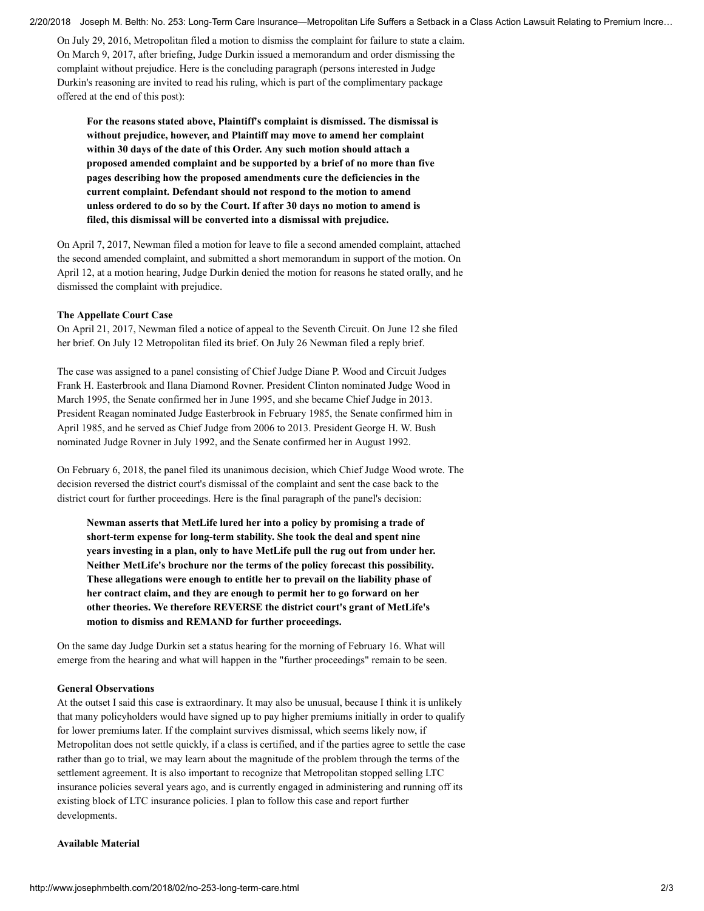2/20/2018 Joseph M. Belth: No. 253: Long-Term Care Insurance—Metropolitan Life Suffers a Setback in a Class Action Lawsuit Relating to Premium Incre…

On July 29, 2016, Metropolitan filed a motion to dismiss the complaint for failure to state a claim. On March 9, 2017, after briefing, Judge Durkin issued a memorandum and order dismissing the complaint without prejudice. Here is the concluding paragraph (persons interested in Judge Durkin's reasoning are invited to read his ruling, which is part of the complimentary package offered at the end of this post):

For the reasons stated above, Plaintiff's complaint is dismissed. The dismissal is without prejudice, however, and Plaintiff may move to amend her complaint within 30 days of the date of this Order. Any such motion should attach a proposed amended complaint and be supported by a brief of no more than five pages describing how the proposed amendments cure the deficiencies in the current complaint. Defendant should not respond to the motion to amend unless ordered to do so by the Court. If after 30 days no motion to amend is filed, this dismissal will be converted into a dismissal with prejudice.

On April 7, 2017, Newman filed a motion for leave to file a second amended complaint, attached the second amended complaint, and submitted a short memorandum in support of the motion. On April 12, at a motion hearing, Judge Durkin denied the motion for reasons he stated orally, and he dismissed the complaint with prejudice.

#### The Appellate Court Case

On April 21, 2017, Newman filed a notice of appeal to the Seventh Circuit. On June 12 she filed her brief. On July 12 Metropolitan filed its brief. On July 26 Newman filed a reply brief.

The case was assigned to a panel consisting of Chief Judge Diane P. Wood and Circuit Judges Frank H. Easterbrook and Ilana Diamond Rovner. President Clinton nominated Judge Wood in March 1995, the Senate confirmed her in June 1995, and she became Chief Judge in 2013. President Reagan nominated Judge Easterbrook in February 1985, the Senate confirmed him in April 1985, and he served as Chief Judge from 2006 to 2013. President George H. W. Bush nominated Judge Rovner in July 1992, and the Senate confirmed her in August 1992.

On February 6, 2018, the panel filed its unanimous decision, which Chief Judge Wood wrote. The decision reversed the district court's dismissal of the complaint and sent the case back to the district court for further proceedings. Here is the final paragraph of the panel's decision:

Newman asserts that MetLife lured her into a policy by promising a trade of short-term expense for long-term stability. She took the deal and spent nine years investing in a plan, only to have MetLife pull the rug out from under her. Neither MetLife's brochure nor the terms of the policy forecast this possibility. These allegations were enough to entitle her to prevail on the liability phase of her contract claim, and they are enough to permit her to go forward on her other theories. We therefore REVERSE the district court's grant of MetLife's motion to dismiss and REMAND for further proceedings.

On the same day Judge Durkin set a status hearing for the morning of February 16. What will emerge from the hearing and what will happen in the "further proceedings" remain to be seen.

#### General Observations

At the outset I said this case is extraordinary. It may also be unusual, because I think it is unlikely that many policyholders would have signed up to pay higher premiums initially in order to qualify for lower premiums later. If the complaint survives dismissal, which seems likely now, if Metropolitan does not settle quickly, if a class is certified, and if the parties agree to settle the case rather than go to trial, we may learn about the magnitude of the problem through the terms of the settlement agreement. It is also important to recognize that Metropolitan stopped selling LTC insurance policies several years ago, and is currently engaged in administering and running off its existing block of LTC insurance policies. I plan to follow this case and report further developments.

#### Available Material